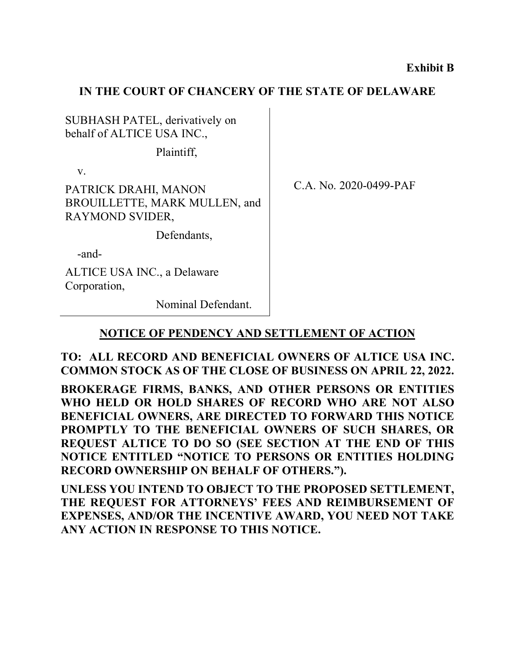#### **IN THE COURT OF CHANCERY OF THE STATE OF DELAWARE**

SUBHASH PATEL, derivatively on behalf of ALTICE USA INC.,

Plaintiff,

v.

PATRICK DRAHI, MANON BROUILLETTE, MARK MULLEN, and RAYMOND SVIDER,

Defendants,

-and-

ALTICE USA INC., a Delaware Corporation,

Nominal Defendant.

C.A. No. 2020-0499-PAF

## **NOTICE OF PENDENCY AND SETTLEMENT OF ACTION**

**TO: ALL RECORD AND BENEFICIAL OWNERS OF ALTICE USA INC. COMMON STOCK AS OF THE CLOSE OF BUSINESS ON APRIL 22, 2022.**

**BROKERAGE FIRMS, BANKS, AND OTHER PERSONS OR ENTITIES WHO HELD OR HOLD SHARES OF RECORD WHO ARE NOT ALSO BENEFICIAL OWNERS, ARE DIRECTED TO FORWARD THIS NOTICE PROMPTLY TO THE BENEFICIAL OWNERS OF SUCH SHARES, OR REQUEST ALTICE TO DO SO (SEE SECTION AT THE END OF THIS NOTICE ENTITLED "NOTICE TO PERSONS OR ENTITIES HOLDING RECORD OWNERSHIP ON BEHALF OF OTHERS.").** 

**UNLESS YOU INTEND TO OBJECT TO THE PROPOSED SETTLEMENT, THE REQUEST FOR ATTORNEYS' FEES AND REIMBURSEMENT OF EXPENSES, AND/OR THE INCENTIVE AWARD, YOU NEED NOT TAKE ANY ACTION IN RESPONSE TO THIS NOTICE.**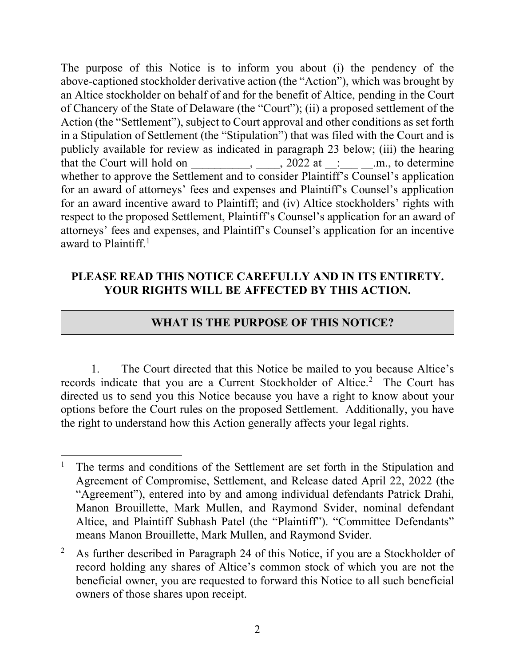The purpose of this Notice is to inform you about (i) the pendency of the above-captioned stockholder derivative action (the "Action"), which was brought by an Altice stockholder on behalf of and for the benefit of Altice, pending in the Court of Chancery of the State of Delaware (the "Court"); (ii) a proposed settlement of the Action (the "Settlement"), subject to Court approval and other conditions as set forth in a Stipulation of Settlement (the "Stipulation") that was filed with the Court and is publicly available for review as indicated in paragraph 23 below; (iii) the hearing that the Court will hold on \_\_\_\_\_\_\_\_, \_\_\_\_, 2022 at \_: \_\_\_\_\_\_\_.m., to determine whether to approve the Settlement and to consider Plaintiff's Counsel's application for an award of attorneys' fees and expenses and Plaintiff's Counsel's application for an award incentive award to Plaintiff; and (iv) Altice stockholders' rights with respect to the proposed Settlement, Plaintiff's Counsel's application for an award of attorneys' fees and expenses, and Plaintiff's Counsel's application for an incentive award to Plaintiff. 1

### **PLEASE READ THIS NOTICE CAREFULLY AND IN ITS ENTIRETY. YOUR RIGHTS WILL BE AFFECTED BY THIS ACTION.**

## **WHAT IS THE PURPOSE OF THIS NOTICE?**

1. The Court directed that this Notice be mailed to you because Altice's records indicate that you are a Current Stockholder of Altice. <sup>2</sup> The Court has directed us to send you this Notice because you have a right to know about your options before the Court rules on the proposed Settlement. Additionally, you have the right to understand how this Action generally affects your legal rights.

<sup>&</sup>lt;sup>1</sup> The terms and conditions of the Settlement are set forth in the Stipulation and Agreement of Compromise, Settlement, and Release dated April 22, 2022 (the "Agreement"), entered into by and among individual defendants Patrick Drahi, Manon Brouillette, Mark Mullen, and Raymond Svider, nominal defendant Altice, and Plaintiff Subhash Patel (the "Plaintiff"). "Committee Defendants" means Manon Brouillette, Mark Mullen, and Raymond Svider.

<sup>&</sup>lt;sup>2</sup> As further described in Paragraph 24 of this Notice, if you are a Stockholder of record holding any shares of Altice's common stock of which you are not the beneficial owner, you are requested to forward this Notice to all such beneficial owners of those shares upon receipt.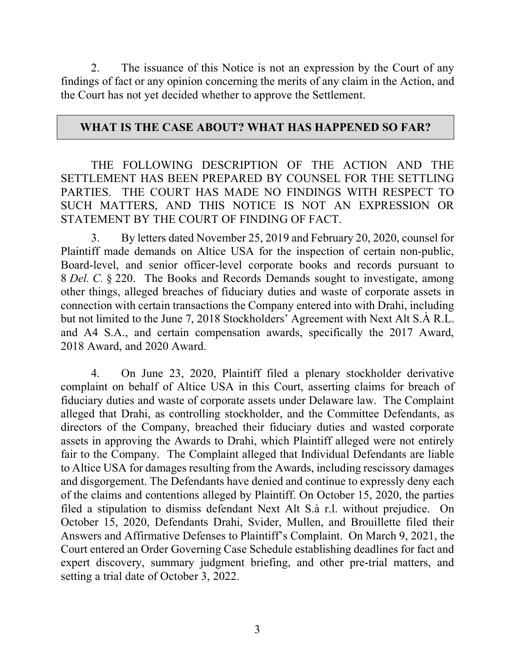2. The issuance of this Notice is not an expression by the Court of any findings of fact or any opinion concerning the merits of any claim in the Action, and the Court has not yet decided whether to approve the Settlement.

#### **WHAT IS THE CASE ABOUT? WHAT HAS HAPPENED SO FAR?**

THE FOLLOWING DESCRIPTION OF THE ACTION AND THE SETTLEMENT HAS BEEN PREPARED BY COUNSEL FOR THE SETTLING PARTIES. THE COURT HAS MADE NO FINDINGS WITH RESPECT TO SUCH MATTERS, AND THIS NOTICE IS NOT AN EXPRESSION OR STATEMENT BY THE COURT OF FINDING OF FACT.

3. By letters dated November 25, 2019 and February 20, 2020, counsel for Plaintiff made demands on Altice USA for the inspection of certain non-public, Board-level, and senior officer-level corporate books and records pursuant to 8 *Del. C.* § 220. The Books and Records Demands sought to investigate, among other things, alleged breaches of fiduciary duties and waste of corporate assets in connection with certain transactions the Company entered into with Drahi, including but not limited to the June 7, 2018 Stockholders' Agreement with Next Alt S.À R.L. and A4 S.A., and certain compensation awards, specifically the 2017 Award, 2018 Award, and 2020 Award.

4. On June 23, 2020, Plaintiff filed a plenary stockholder derivative complaint on behalf of Altice USA in this Court, asserting claims for breach of fiduciary duties and waste of corporate assets under Delaware law. The Complaint alleged that Drahi, as controlling stockholder, and the Committee Defendants, as directors of the Company, breached their fiduciary duties and wasted corporate assets in approving the Awards to Drahi, which Plaintiff alleged were not entirely fair to the Company. The Complaint alleged that Individual Defendants are liable to Altice USA for damages resulting from the Awards, including rescissory damages and disgorgement. The Defendants have denied and continue to expressly deny each of the claims and contentions alleged by Plaintiff. On October 15, 2020, the parties filed a stipulation to dismiss defendant Next Alt S.à r.l. without prejudice. On October 15, 2020, Defendants Drahi, Svider, Mullen, and Brouillette filed their Answers and Affirmative Defenses to Plaintiff's Complaint. On March 9, 2021, the Court entered an Order Governing Case Schedule establishing deadlines for fact and expert discovery, summary judgment briefing, and other pre-trial matters, and setting a trial date of October 3, 2022.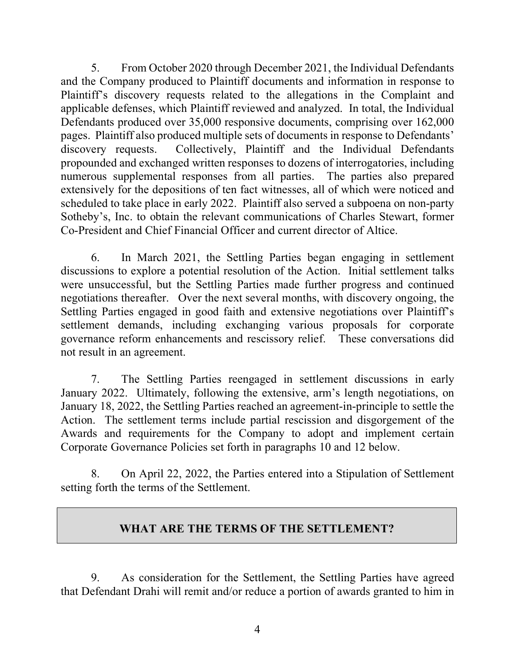5. From October 2020 through December 2021, the Individual Defendants and the Company produced to Plaintiff documents and information in response to Plaintiff's discovery requests related to the allegations in the Complaint and applicable defenses, which Plaintiff reviewed and analyzed. In total, the Individual Defendants produced over 35,000 responsive documents, comprising over 162,000 pages. Plaintiff also produced multiple sets of documents in response to Defendants' discovery requests. Collectively, Plaintiff and the Individual Defendants propounded and exchanged written responses to dozens of interrogatories, including numerous supplemental responses from all parties. The parties also prepared extensively for the depositions of ten fact witnesses, all of which were noticed and scheduled to take place in early 2022. Plaintiff also served a subpoena on non-party Sotheby's, Inc. to obtain the relevant communications of Charles Stewart, former Co-President and Chief Financial Officer and current director of Altice.

6. In March 2021, the Settling Parties began engaging in settlement discussions to explore a potential resolution of the Action. Initial settlement talks were unsuccessful, but the Settling Parties made further progress and continued negotiations thereafter. Over the next several months, with discovery ongoing, the Settling Parties engaged in good faith and extensive negotiations over Plaintiff's settlement demands, including exchanging various proposals for corporate governance reform enhancements and rescissory relief. These conversations did not result in an agreement.

7. The Settling Parties reengaged in settlement discussions in early January 2022. Ultimately, following the extensive, arm's length negotiations, on January 18, 2022, the Settling Parties reached an agreement-in-principle to settle the Action. The settlement terms include partial rescission and disgorgement of the Awards and requirements for the Company to adopt and implement certain Corporate Governance Policies set forth in paragraphs 10 and 12 below.

8. On April 22, 2022, the Parties entered into a Stipulation of Settlement setting forth the terms of the Settlement.

## **WHAT ARE THE TERMS OF THE SETTLEMENT?**

9. As consideration for the Settlement, the Settling Parties have agreed that Defendant Drahi will remit and/or reduce a portion of awards granted to him in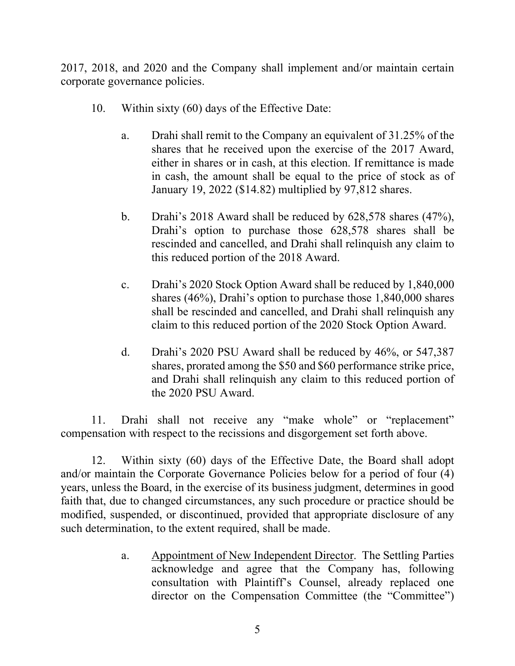2017, 2018, and 2020 and the Company shall implement and/or maintain certain corporate governance policies.

- 10. Within sixty (60) days of the Effective Date:
	- a. Drahi shall remit to the Company an equivalent of 31.25% of the shares that he received upon the exercise of the 2017 Award, either in shares or in cash, at this election. If remittance is made in cash, the amount shall be equal to the price of stock as of January 19, 2022 (\$14.82) multiplied by 97,812 shares.
	- b. Drahi's 2018 Award shall be reduced by 628,578 shares (47%), Drahi's option to purchase those 628,578 shares shall be rescinded and cancelled, and Drahi shall relinquish any claim to this reduced portion of the 2018 Award.
	- c. Drahi's 2020 Stock Option Award shall be reduced by 1,840,000 shares (46%), Drahi's option to purchase those 1,840,000 shares shall be rescinded and cancelled, and Drahi shall relinquish any claim to this reduced portion of the 2020 Stock Option Award.
	- d. Drahi's 2020 PSU Award shall be reduced by 46%, or 547,387 shares, prorated among the \$50 and \$60 performance strike price, and Drahi shall relinquish any claim to this reduced portion of the 2020 PSU Award.

11. Drahi shall not receive any "make whole" or "replacement" compensation with respect to the recissions and disgorgement set forth above.

12. Within sixty (60) days of the Effective Date, the Board shall adopt and/or maintain the Corporate Governance Policies below for a period of four (4) years, unless the Board, in the exercise of its business judgment, determines in good faith that, due to changed circumstances, any such procedure or practice should be modified, suspended, or discontinued, provided that appropriate disclosure of any such determination, to the extent required, shall be made.

> a. Appointment of New Independent Director. The Settling Parties acknowledge and agree that the Company has, following consultation with Plaintiff's Counsel, already replaced one director on the Compensation Committee (the "Committee")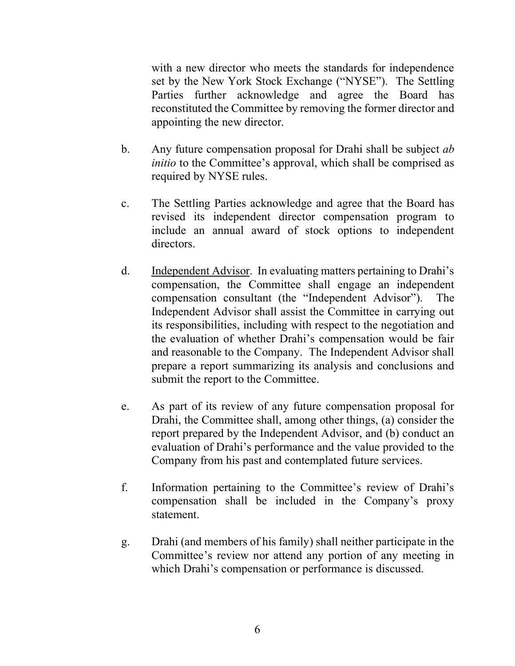with a new director who meets the standards for independence set by the New York Stock Exchange ("NYSE"). The Settling Parties further acknowledge and agree the Board has reconstituted the Committee by removing the former director and appointing the new director.

- b. Any future compensation proposal for Drahi shall be subject *ab initio* to the Committee's approval, which shall be comprised as required by NYSE rules.
- c. The Settling Parties acknowledge and agree that the Board has revised its independent director compensation program to include an annual award of stock options to independent directors.
- d. Independent Advisor. In evaluating matters pertaining to Drahi's compensation, the Committee shall engage an independent compensation consultant (the "Independent Advisor"). The Independent Advisor shall assist the Committee in carrying out its responsibilities, including with respect to the negotiation and the evaluation of whether Drahi's compensation would be fair and reasonable to the Company. The Independent Advisor shall prepare a report summarizing its analysis and conclusions and submit the report to the Committee.
- e. As part of its review of any future compensation proposal for Drahi, the Committee shall, among other things, (a) consider the report prepared by the Independent Advisor, and (b) conduct an evaluation of Drahi's performance and the value provided to the Company from his past and contemplated future services.
- f. Information pertaining to the Committee's review of Drahi's compensation shall be included in the Company's proxy statement.
- g. Drahi (and members of his family) shall neither participate in the Committee's review nor attend any portion of any meeting in which Drahi's compensation or performance is discussed.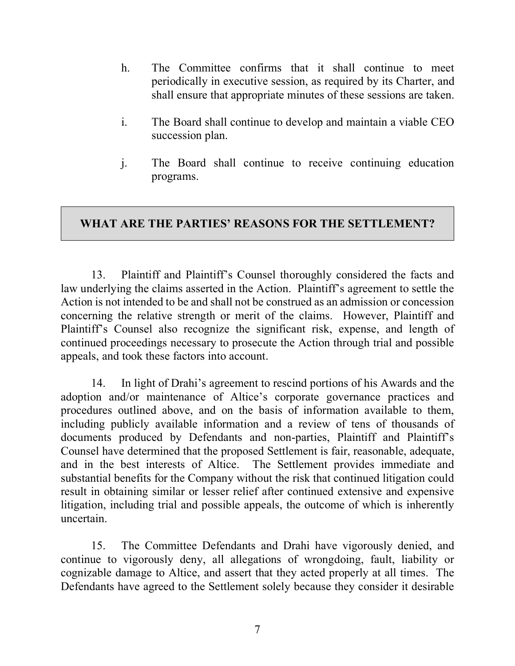- h. The Committee confirms that it shall continue to meet periodically in executive session, as required by its Charter, and shall ensure that appropriate minutes of these sessions are taken.
- i. The Board shall continue to develop and maintain a viable CEO succession plan.
- j. The Board shall continue to receive continuing education programs.

# **WHAT ARE THE PARTIES' REASONS FOR THE SETTLEMENT?**

13. Plaintiff and Plaintiff's Counsel thoroughly considered the facts and law underlying the claims asserted in the Action. Plaintiff's agreement to settle the Action is not intended to be and shall not be construed as an admission or concession concerning the relative strength or merit of the claims. However, Plaintiff and Plaintiff's Counsel also recognize the significant risk, expense, and length of continued proceedings necessary to prosecute the Action through trial and possible appeals, and took these factors into account.

14. In light of Drahi's agreement to rescind portions of his Awards and the adoption and/or maintenance of Altice's corporate governance practices and procedures outlined above, and on the basis of information available to them, including publicly available information and a review of tens of thousands of documents produced by Defendants and non-parties, Plaintiff and Plaintiff's Counsel have determined that the proposed Settlement is fair, reasonable, adequate, and in the best interests of Altice. The Settlement provides immediate and substantial benefits for the Company without the risk that continued litigation could result in obtaining similar or lesser relief after continued extensive and expensive litigation, including trial and possible appeals, the outcome of which is inherently uncertain.

15. The Committee Defendants and Drahi have vigorously denied, and continue to vigorously deny, all allegations of wrongdoing, fault, liability or cognizable damage to Altice, and assert that they acted properly at all times. The Defendants have agreed to the Settlement solely because they consider it desirable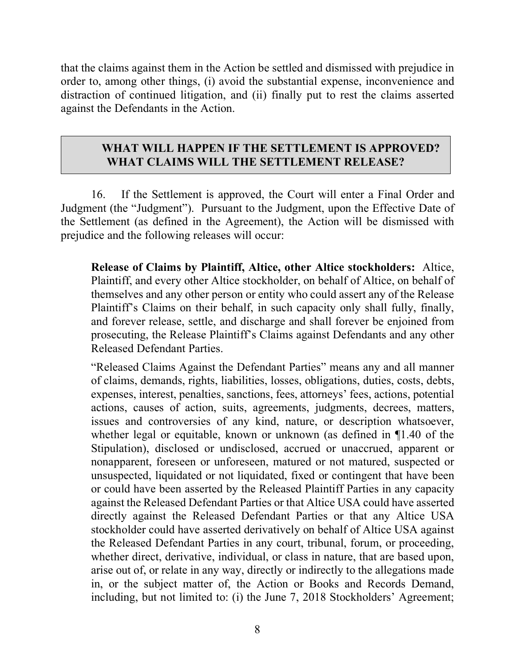that the claims against them in the Action be settled and dismissed with prejudice in order to, among other things, (i) avoid the substantial expense, inconvenience and distraction of continued litigation, and (ii) finally put to rest the claims asserted against the Defendants in the Action.

### **WHAT WILL HAPPEN IF THE SETTLEMENT IS APPROVED? WHAT CLAIMS WILL THE SETTLEMENT RELEASE?**

16. If the Settlement is approved, the Court will enter a Final Order and Judgment (the "Judgment"). Pursuant to the Judgment, upon the Effective Date of the Settlement (as defined in the Agreement), the Action will be dismissed with prejudice and the following releases will occur:

**Release of Claims by Plaintiff, Altice, other Altice stockholders:** Altice, Plaintiff, and every other Altice stockholder, on behalf of Altice, on behalf of themselves and any other person or entity who could assert any of the Release Plaintiff's Claims on their behalf, in such capacity only shall fully, finally, and forever release, settle, and discharge and shall forever be enjoined from prosecuting, the Release Plaintiff's Claims against Defendants and any other Released Defendant Parties.

"Released Claims Against the Defendant Parties" means any and all manner of claims, demands, rights, liabilities, losses, obligations, duties, costs, debts, expenses, interest, penalties, sanctions, fees, attorneys' fees, actions, potential actions, causes of action, suits, agreements, judgments, decrees, matters, issues and controversies of any kind, nature, or description whatsoever, whether legal or equitable, known or unknown (as defined in ¶1.40 of the Stipulation), disclosed or undisclosed, accrued or unaccrued, apparent or nonapparent, foreseen or unforeseen, matured or not matured, suspected or unsuspected, liquidated or not liquidated, fixed or contingent that have been or could have been asserted by the Released Plaintiff Parties in any capacity against the Released Defendant Parties or that Altice USA could have asserted directly against the Released Defendant Parties or that any Altice USA stockholder could have asserted derivatively on behalf of Altice USA against the Released Defendant Parties in any court, tribunal, forum, or proceeding, whether direct, derivative, individual, or class in nature, that are based upon, arise out of, or relate in any way, directly or indirectly to the allegations made in, or the subject matter of, the Action or Books and Records Demand, including, but not limited to: (i) the June 7, 2018 Stockholders' Agreement;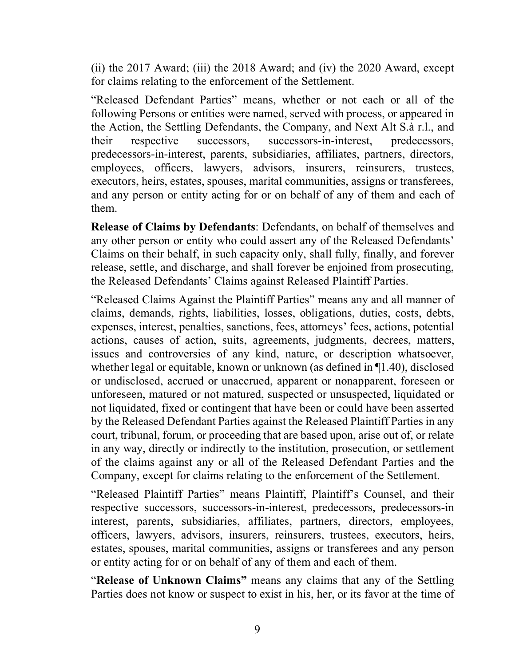(ii) the 2017 Award; (iii) the 2018 Award; and (iv) the 2020 Award, except for claims relating to the enforcement of the Settlement.

"Released Defendant Parties" means, whether or not each or all of the following Persons or entities were named, served with process, or appeared in the Action, the Settling Defendants, the Company, and Next Alt S.à r.l., and their respective successors, successors-in-interest, predecessors, predecessors-in-interest, parents, subsidiaries, affiliates, partners, directors, employees, officers, lawyers, advisors, insurers, reinsurers, trustees, executors, heirs, estates, spouses, marital communities, assigns or transferees, and any person or entity acting for or on behalf of any of them and each of them.

**Release of Claims by Defendants**: Defendants, on behalf of themselves and any other person or entity who could assert any of the Released Defendants' Claims on their behalf, in such capacity only, shall fully, finally, and forever release, settle, and discharge, and shall forever be enjoined from prosecuting, the Released Defendants' Claims against Released Plaintiff Parties.

"Released Claims Against the Plaintiff Parties" means any and all manner of claims, demands, rights, liabilities, losses, obligations, duties, costs, debts, expenses, interest, penalties, sanctions, fees, attorneys' fees, actions, potential actions, causes of action, suits, agreements, judgments, decrees, matters, issues and controversies of any kind, nature, or description whatsoever, whether legal or equitable, known or unknown (as defined in ¶1.40), disclosed or undisclosed, accrued or unaccrued, apparent or nonapparent, foreseen or unforeseen, matured or not matured, suspected or unsuspected, liquidated or not liquidated, fixed or contingent that have been or could have been asserted by the Released Defendant Parties against the Released Plaintiff Parties in any court, tribunal, forum, or proceeding that are based upon, arise out of, or relate in any way, directly or indirectly to the institution, prosecution, or settlement of the claims against any or all of the Released Defendant Parties and the Company, except for claims relating to the enforcement of the Settlement.

"Released Plaintiff Parties" means Plaintiff, Plaintiff's Counsel, and their respective successors, successors-in-interest, predecessors, predecessors-in interest, parents, subsidiaries, affiliates, partners, directors, employees, officers, lawyers, advisors, insurers, reinsurers, trustees, executors, heirs, estates, spouses, marital communities, assigns or transferees and any person or entity acting for or on behalf of any of them and each of them.

"**Release of Unknown Claims"** means any claims that any of the Settling Parties does not know or suspect to exist in his, her, or its favor at the time of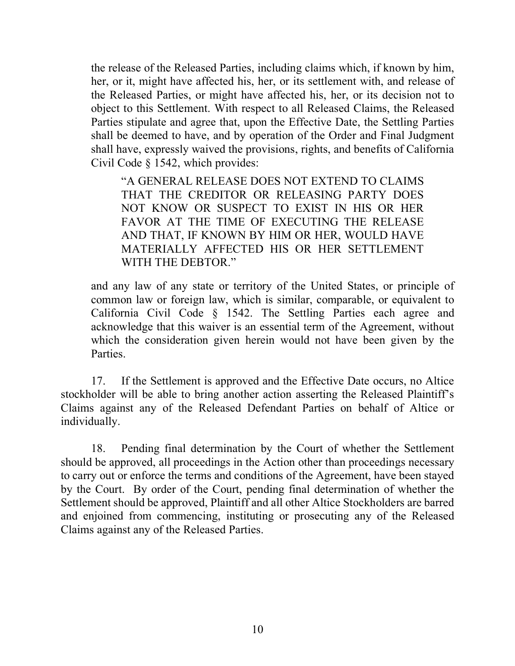the release of the Released Parties, including claims which, if known by him, her, or it, might have affected his, her, or its settlement with, and release of the Released Parties, or might have affected his, her, or its decision not to object to this Settlement. With respect to all Released Claims, the Released Parties stipulate and agree that, upon the Effective Date, the Settling Parties shall be deemed to have, and by operation of the Order and Final Judgment shall have, expressly waived the provisions, rights, and benefits of California Civil Code § 1542, which provides:

"A GENERAL RELEASE DOES NOT EXTEND TO CLAIMS THAT THE CREDITOR OR RELEASING PARTY DOES NOT KNOW OR SUSPECT TO EXIST IN HIS OR HER FAVOR AT THE TIME OF EXECUTING THE RELEASE AND THAT, IF KNOWN BY HIM OR HER, WOULD HAVE MATERIALLY AFFECTED HIS OR HER SETTLEMENT WITH THE DEBTOR."

and any law of any state or territory of the United States, or principle of common law or foreign law, which is similar, comparable, or equivalent to California Civil Code § 1542. The Settling Parties each agree and acknowledge that this waiver is an essential term of the Agreement, without which the consideration given herein would not have been given by the Parties.

17. If the Settlement is approved and the Effective Date occurs, no Altice stockholder will be able to bring another action asserting the Released Plaintiff's Claims against any of the Released Defendant Parties on behalf of Altice or individually.

18. Pending final determination by the Court of whether the Settlement should be approved, all proceedings in the Action other than proceedings necessary to carry out or enforce the terms and conditions of the Agreement, have been stayed by the Court. By order of the Court, pending final determination of whether the Settlement should be approved, Plaintiff and all other Altice Stockholders are barred and enjoined from commencing, instituting or prosecuting any of the Released Claims against any of the Released Parties.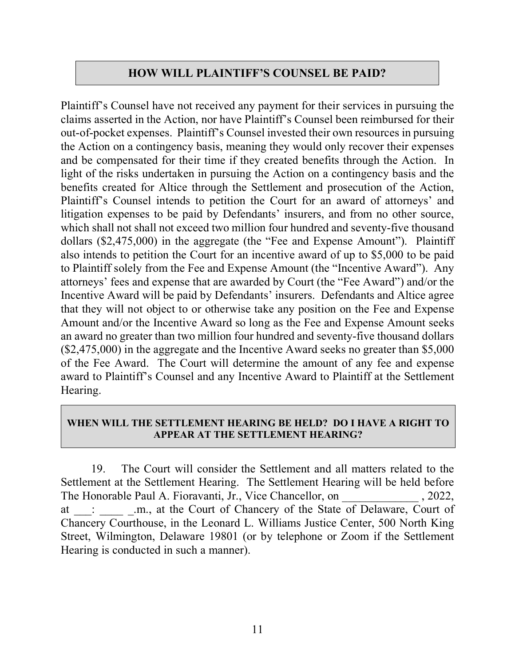# **HOW WILL PLAINTIFF'S COUNSEL BE PAID?**

Plaintiff's Counsel have not received any payment for their services in pursuing the claims asserted in the Action, nor have Plaintiff's Counsel been reimbursed for their out-of-pocket expenses. Plaintiff's Counsel invested their own resources in pursuing the Action on a contingency basis, meaning they would only recover their expenses and be compensated for their time if they created benefits through the Action. In light of the risks undertaken in pursuing the Action on a contingency basis and the benefits created for Altice through the Settlement and prosecution of the Action, Plaintiff's Counsel intends to petition the Court for an award of attorneys' and litigation expenses to be paid by Defendants' insurers, and from no other source, which shall not shall not exceed two million four hundred and seventy-five thousand dollars (\$2,475,000) in the aggregate (the "Fee and Expense Amount"). Plaintiff also intends to petition the Court for an incentive award of up to \$5,000 to be paid to Plaintiff solely from the Fee and Expense Amount (the "Incentive Award"). Any attorneys' fees and expense that are awarded by Court (the "Fee Award") and/or the Incentive Award will be paid by Defendants' insurers. Defendants and Altice agree that they will not object to or otherwise take any position on the Fee and Expense Amount and/or the Incentive Award so long as the Fee and Expense Amount seeks an award no greater than two million four hundred and seventy-five thousand dollars (\$2,475,000) in the aggregate and the Incentive Award seeks no greater than \$5,000 of the Fee Award. The Court will determine the amount of any fee and expense award to Plaintiff's Counsel and any Incentive Award to Plaintiff at the Settlement Hearing.

#### **WHEN WILL THE SETTLEMENT HEARING BE HELD? DO I HAVE A RIGHT TO APPEAR AT THE SETTLEMENT HEARING?**

19. The Court will consider the Settlement and all matters related to the Settlement at the Settlement Hearing. The Settlement Hearing will be held before The Honorable Paul A. Fioravanti, Jr., Vice Chancellor, on  $, 2022,$ at \_\_\_: \_\_\_\_\_ \_.m., at the Court of Chancery of the State of Delaware, Court of Chancery Courthouse, in the Leonard L. Williams Justice Center, 500 North King Street, Wilmington, Delaware 19801 (or by telephone or Zoom if the Settlement Hearing is conducted in such a manner).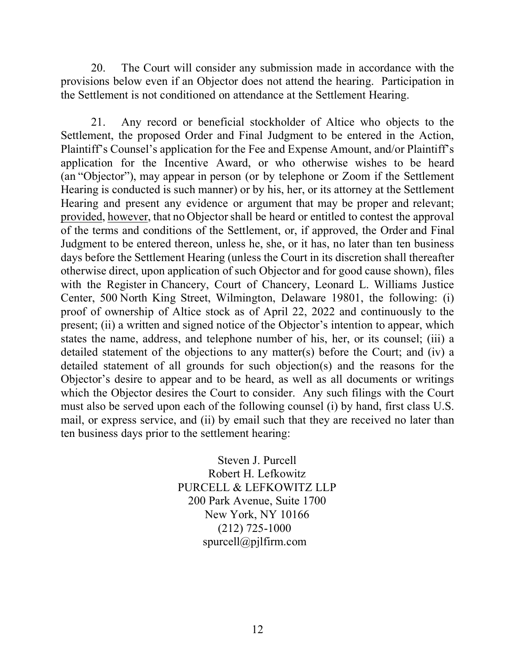20. The Court will consider any submission made in accordance with the provisions below even if an Objector does not attend the hearing. Participation in the Settlement is not conditioned on attendance at the Settlement Hearing.

21. Any record or beneficial stockholder of Altice who objects to the Settlement, the proposed Order and Final Judgment to be entered in the Action, Plaintiff's Counsel's application for the Fee and Expense Amount, and/or Plaintiff's application for the Incentive Award, or who otherwise wishes to be heard (an "Objector"), may appear in person (or by telephone or Zoom if the Settlement Hearing is conducted is such manner) or by his, her, or its attorney at the Settlement Hearing and present any evidence or argument that may be proper and relevant; provided, however, that no Objectorshall be heard or entitled to contest the approval of the terms and conditions of the Settlement, or, if approved, the Order and Final Judgment to be entered thereon, unless he, she, or it has, no later than ten business days before the Settlement Hearing (unless the Court in its discretion shall thereafter otherwise direct, upon application of such Objector and for good cause shown), files with the Register in Chancery, Court of Chancery, Leonard L. Williams Justice Center, 500 North King Street, Wilmington, Delaware 19801, the following: (i) proof of ownership of Altice stock as of April 22, 2022 and continuously to the present; (ii) a written and signed notice of the Objector's intention to appear, which states the name, address, and telephone number of his, her, or its counsel; (iii) a detailed statement of the objections to any matter(s) before the Court; and (iv) a detailed statement of all grounds for such objection(s) and the reasons for the Objector's desire to appear and to be heard, as well as all documents or writings which the Objector desires the Court to consider. Any such filings with the Court must also be served upon each of the following counsel (i) by hand, first class U.S. mail, or express service, and (ii) by email such that they are received no later than ten business days prior to the settlement hearing:

> Steven J. Purcell Robert H. Lefkowitz PURCELL & LEFKOWITZ LLP 200 Park Avenue, Suite 1700 New York, NY 10166 (212) 725-1000 spurcell@pjlfirm.com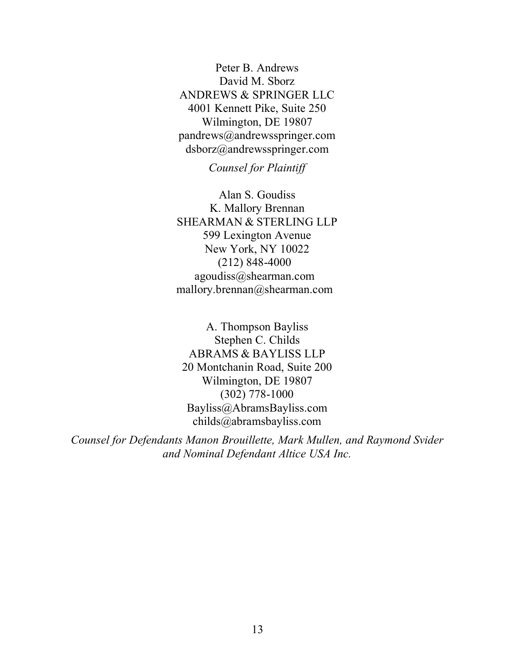Peter B. Andrews David M. Sborz ANDREWS & SPRINGER LLC 4001 Kennett Pike, Suite 250 Wilmington, DE 19807 pandrews@andrewsspringer.com dsborz@andrewsspringer.com

*Counsel for Plaintiff*

Alan S. Goudiss K. Mallory Brennan SHEARMAN & STERLING LLP 599 Lexington Avenue New York, NY 10022 (212) 848-4000 agoudiss@shearman.com mallory.brennan@shearman.com

A. Thompson Bayliss Stephen C. Childs ABRAMS & BAYLISS LLP 20 Montchanin Road, Suite 200 Wilmington, DE 19807 (302) 778-1000 Bayliss@AbramsBayliss.com childs@abramsbayliss.com

*Counsel for Defendants Manon Brouillette, Mark Mullen, and Raymond Svider and Nominal Defendant Altice USA Inc.*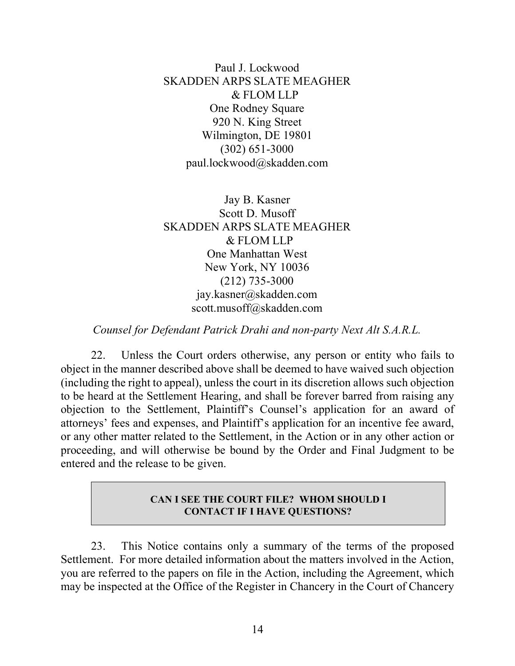Paul J. Lockwood SKADDEN ARPS SLATE MEAGHER & FLOM LLP One Rodney Square 920 N. King Street Wilmington, DE 19801 (302) 651-3000 paul.lockwood@skadden.com

Jay B. Kasner Scott D. Musoff SKADDEN ARPS SLATE MEAGHER & FLOM LLP One Manhattan West New York, NY 10036 (212) 735-3000 jay.kasner@skadden.com scott.musoff@skadden.com

*Counsel for Defendant Patrick Drahi and non-party Next Alt S.A.R.L.*

22. Unless the Court orders otherwise, any person or entity who fails to object in the manner described above shall be deemed to have waived such objection (including the right to appeal), unless the court in its discretion allows such objection to be heard at the Settlement Hearing, and shall be forever barred from raising any objection to the Settlement, Plaintiff's Counsel's application for an award of attorneys' fees and expenses, and Plaintiff's application for an incentive fee award, or any other matter related to the Settlement, in the Action or in any other action or proceeding, and will otherwise be bound by the Order and Final Judgment to be entered and the release to be given.

#### **CAN I SEE THE COURT FILE? WHOM SHOULD I CONTACT IF I HAVE QUESTIONS?**

23. This Notice contains only a summary of the terms of the proposed Settlement. For more detailed information about the matters involved in the Action, you are referred to the papers on file in the Action, including the Agreement, which may be inspected at the Office of the Register in Chancery in the Court of Chancery